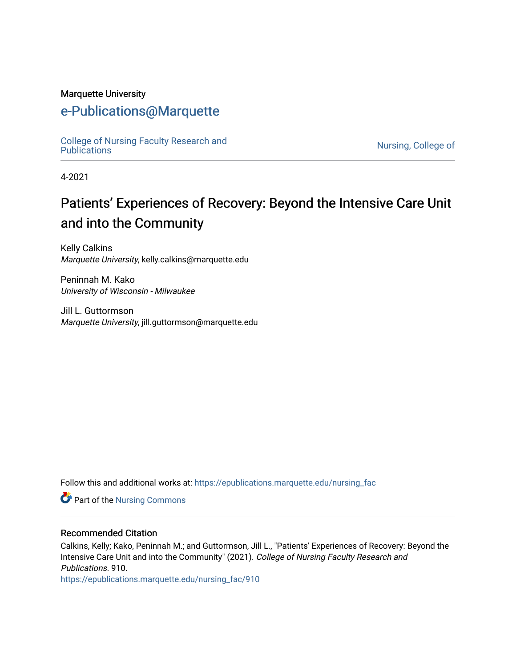#### Marquette University

## [e-Publications@Marquette](https://epublications.marquette.edu/)

[College of Nursing Faculty Research and](https://epublications.marquette.edu/nursing_fac)<br>Publications

Nursing, College of

4-2021

# Patients' Experiences of Recovery: Beyond the Intensive Care Unit and into the Community

Kelly Calkins Marquette University, kelly.calkins@marquette.edu

Peninnah M. Kako University of Wisconsin - Milwaukee

Jill L. Guttormson Marquette University, jill.guttormson@marquette.edu

Follow this and additional works at: [https://epublications.marquette.edu/nursing\\_fac](https://epublications.marquette.edu/nursing_fac?utm_source=epublications.marquette.edu%2Fnursing_fac%2F910&utm_medium=PDF&utm_campaign=PDFCoverPages)

Part of the [Nursing Commons](http://network.bepress.com/hgg/discipline/718?utm_source=epublications.marquette.edu%2Fnursing_fac%2F910&utm_medium=PDF&utm_campaign=PDFCoverPages) 

#### Recommended Citation

Calkins, Kelly; Kako, Peninnah M.; and Guttormson, Jill L., "Patients' Experiences of Recovery: Beyond the Intensive Care Unit and into the Community" (2021). College of Nursing Faculty Research and Publications. 910.

[https://epublications.marquette.edu/nursing\\_fac/910](https://epublications.marquette.edu/nursing_fac/910?utm_source=epublications.marquette.edu%2Fnursing_fac%2F910&utm_medium=PDF&utm_campaign=PDFCoverPages)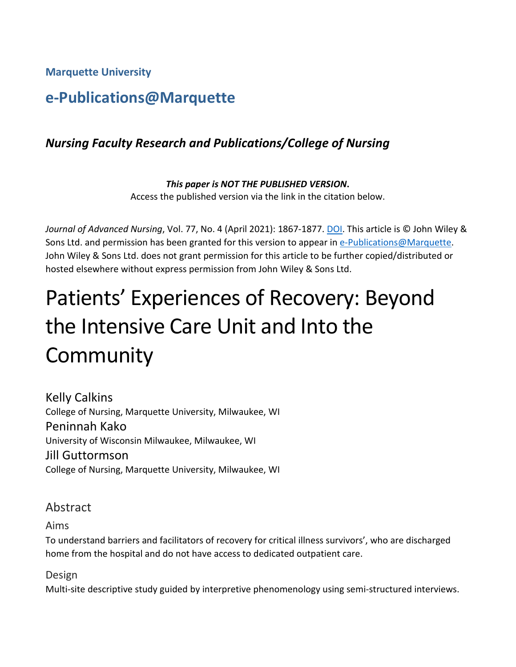**Marquette University**

## **e-Publications@Marquette**

## *Nursing Faculty Research and Publications/College of Nursing*

*This paper is NOT THE PUBLISHED VERSION***.**  Access the published version via the link in the citation below.

*Journal of Advanced Nursing*, Vol. 77, No. 4 (April 2021): 1867-1877. [DOI.](https://doi.org/10.1111/jan.14729) This article is © John Wiley & Sons Ltd. and permission has been granted for this version to appear in [e-Publications@Marquette.](http://epublications.marquette.edu/) John Wiley & Sons Ltd. does not grant permission for this article to be further copied/distributed or hosted elsewhere without express permission from John Wiley & Sons Ltd.

# Patients' Experiences of Recovery: Beyond the Intensive Care Unit and Into the **Community**

Kelly Calkins College of Nursing, Marquette University, Milwaukee, WI Peninnah Kako University of Wisconsin Milwaukee, Milwaukee, WI Jill Guttormson College of Nursing, Marquette University, Milwaukee, WI

Abstract

Aims

To understand barriers and facilitators of recovery for critical illness survivors', who are discharged home from the hospital and do not have access to dedicated outpatient care.

Design

Multi-site descriptive study guided by interpretive phenomenology using semi-structured interviews.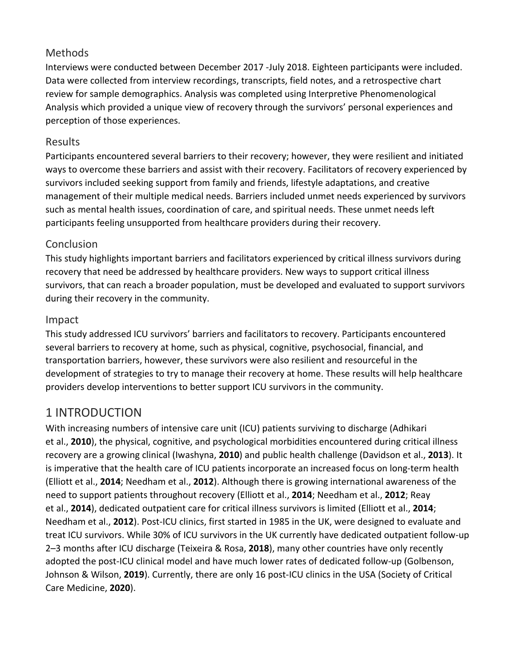#### **Methods**

Interviews were conducted between December 2017 -July 2018. Eighteen participants were included. Data were collected from interview recordings, transcripts, field notes, and a retrospective chart review for sample demographics. Analysis was completed using Interpretive Phenomenological Analysis which provided a unique view of recovery through the survivors' personal experiences and perception of those experiences.

#### Results

Participants encountered several barriers to their recovery; however, they were resilient and initiated ways to overcome these barriers and assist with their recovery. Facilitators of recovery experienced by survivors included seeking support from family and friends, lifestyle adaptations, and creative management of their multiple medical needs. Barriers included unmet needs experienced by survivors such as mental health issues, coordination of care, and spiritual needs. These unmet needs left participants feeling unsupported from healthcare providers during their recovery.

## Conclusion

This study highlights important barriers and facilitators experienced by critical illness survivors during recovery that need be addressed by healthcare providers. New ways to support critical illness survivors, that can reach a broader population, must be developed and evaluated to support survivors during their recovery in the community.

#### Impact

This study addressed ICU survivors' barriers and facilitators to recovery. Participants encountered several barriers to recovery at home, such as physical, cognitive, psychosocial, financial, and transportation barriers, however, these survivors were also resilient and resourceful in the development of strategies to try to manage their recovery at home. These results will help healthcare providers develop interventions to better support ICU survivors in the community.

## 1 INTRODUCTION

With increasing numbers of intensive care unit (ICU) patients surviving to discharge (Adhikari et al., **2010**), the physical, cognitive, and psychological morbidities encountered during critical illness recovery are a growing clinical (Iwashyna, **2010**) and public health challenge (Davidson et al., **2013**). It is imperative that the health care of ICU patients incorporate an increased focus on long-term health (Elliott et al., **2014**; Needham et al., **2012**). Although there is growing international awareness of the need to support patients throughout recovery (Elliott et al., **2014**; Needham et al., **2012**; Reay et al., **2014**), dedicated outpatient care for critical illness survivors is limited (Elliott et al., **2014**; Needham et al., **2012**). Post-ICU clinics, first started in 1985 in the UK, were designed to evaluate and treat ICU survivors. While 30% of ICU survivors in the UK currently have dedicated outpatient follow-up 2–3 months after ICU discharge (Teixeira & Rosa, **2018**), many other countries have only recently adopted the post-ICU clinical model and have much lower rates of dedicated follow-up (Golbenson, Johnson & Wilson, **2019**). Currently, there are only 16 post-ICU clinics in the USA (Society of Critical Care Medicine, **2020**).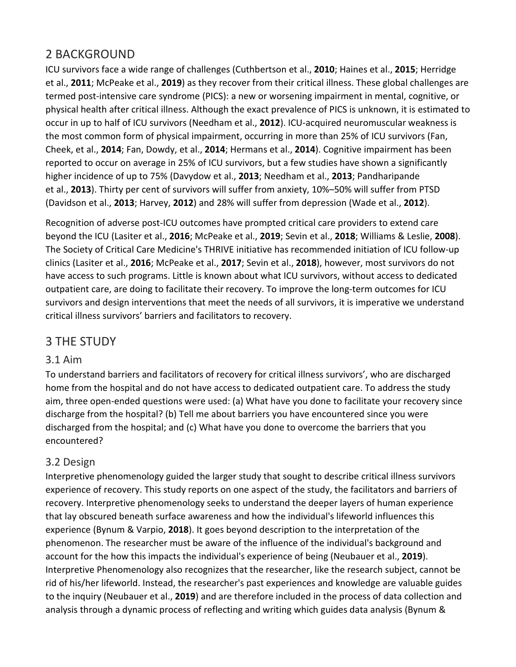## 2 BACKGROUND

ICU survivors face a wide range of challenges (Cuthbertson et al., **2010**; Haines et al., **2015**; Herridge et al., **2011**; McPeake et al., **2019**) as they recover from their critical illness. These global challenges are termed post-intensive care syndrome (PICS): a new or worsening impairment in mental, cognitive, or physical health after critical illness. Although the exact prevalence of PICS is unknown, it is estimated to occur in up to half of ICU survivors (Needham et al., **2012**). ICU-acquired neuromuscular weakness is the most common form of physical impairment, occurring in more than 25% of ICU survivors (Fan, Cheek, et al., **2014**; Fan, Dowdy, et al., **2014**; Hermans et al., **2014**). Cognitive impairment has been reported to occur on average in 25% of ICU survivors, but a few studies have shown a significantly higher incidence of up to 75% (Davydow et al., **2013**; Needham et al., **2013**; Pandharipande et al., **2013**). Thirty per cent of survivors will suffer from anxiety, 10%–50% will suffer from PTSD (Davidson et al., **2013**; Harvey, **2012**) and 28% will suffer from depression (Wade et al., **2012**).

Recognition of adverse post-ICU outcomes have prompted critical care providers to extend care beyond the ICU (Lasiter et al., **2016**; McPeake et al., **2019**; Sevin et al., **2018**; Williams & Leslie, **2008**). The Society of Critical Care Medicine's THRIVE initiative has recommended initiation of ICU follow-up clinics (Lasiter et al., **2016**; McPeake et al., **2017**; Sevin et al., **2018**), however, most survivors do not have access to such programs. Little is known about what ICU survivors, without access to dedicated outpatient care, are doing to facilitate their recovery. To improve the long-term outcomes for ICU survivors and design interventions that meet the needs of all survivors, it is imperative we understand critical illness survivors' barriers and facilitators to recovery.

## 3 THE STUDY

#### 3.1 Aim

To understand barriers and facilitators of recovery for critical illness survivors', who are discharged home from the hospital and do not have access to dedicated outpatient care. To address the study aim, three open-ended questions were used: (a) What have you done to facilitate your recovery since discharge from the hospital? (b) Tell me about barriers you have encountered since you were discharged from the hospital; and (c) What have you done to overcome the barriers that you encountered?

#### 3.2 Design

Interpretive phenomenology guided the larger study that sought to describe critical illness survivors experience of recovery. This study reports on one aspect of the study, the facilitators and barriers of recovery. Interpretive phenomenology seeks to understand the deeper layers of human experience that lay obscured beneath surface awareness and how the individual's lifeworld influences this experience (Bynum & Varpio, **2018**). It goes beyond description to the interpretation of the phenomenon. The researcher must be aware of the influence of the individual's background and account for the how this impacts the individual's experience of being (Neubauer et al., **2019**). Interpretive Phenomenology also recognizes that the researcher, like the research subject, cannot be rid of his/her lifeworld. Instead, the researcher's past experiences and knowledge are valuable guides to the inquiry (Neubauer et al., **2019**) and are therefore included in the process of data collection and analysis through a dynamic process of reflecting and writing which guides data analysis (Bynum &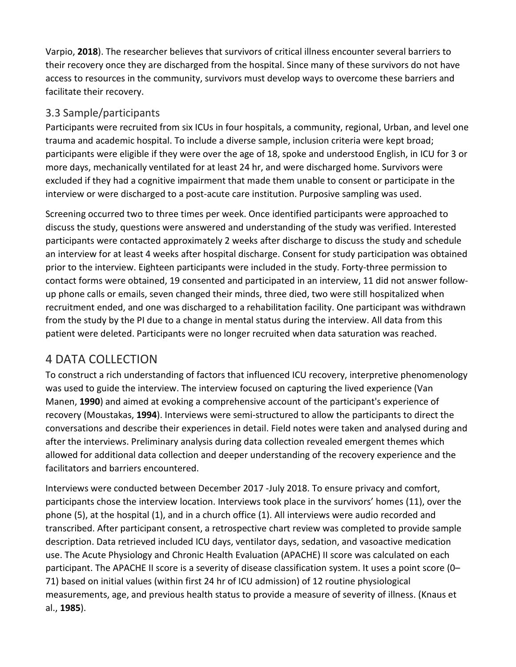Varpio, **2018**). The researcher believes that survivors of critical illness encounter several barriers to their recovery once they are discharged from the hospital. Since many of these survivors do not have access to resources in the community, survivors must develop ways to overcome these barriers and facilitate their recovery.

#### 3.3 Sample/participants

Participants were recruited from six ICUs in four hospitals, a community, regional, Urban, and level one trauma and academic hospital. To include a diverse sample, inclusion criteria were kept broad; participants were eligible if they were over the age of 18, spoke and understood English, in ICU for 3 or more days, mechanically ventilated for at least 24 hr, and were discharged home. Survivors were excluded if they had a cognitive impairment that made them unable to consent or participate in the interview or were discharged to a post-acute care institution. Purposive sampling was used.

Screening occurred two to three times per week. Once identified participants were approached to discuss the study, questions were answered and understanding of the study was verified. Interested participants were contacted approximately 2 weeks after discharge to discuss the study and schedule an interview for at least 4 weeks after hospital discharge. Consent for study participation was obtained prior to the interview. Eighteen participants were included in the study. Forty-three permission to contact forms were obtained, 19 consented and participated in an interview, 11 did not answer followup phone calls or emails, seven changed their minds, three died, two were still hospitalized when recruitment ended, and one was discharged to a rehabilitation facility. One participant was withdrawn from the study by the PI due to a change in mental status during the interview. All data from this patient were deleted. Participants were no longer recruited when data saturation was reached.

## 4 DATA COLLECTION

To construct a rich understanding of factors that influenced ICU recovery, interpretive phenomenology was used to guide the interview. The interview focused on capturing the lived experience (Van Manen, **1990**) and aimed at evoking a comprehensive account of the participant's experience of recovery (Moustakas, **1994**). Interviews were semi-structured to allow the participants to direct the conversations and describe their experiences in detail. Field notes were taken and analysed during and after the interviews. Preliminary analysis during data collection revealed emergent themes which allowed for additional data collection and deeper understanding of the recovery experience and the facilitators and barriers encountered.

Interviews were conducted between December 2017 -July 2018. To ensure privacy and comfort, participants chose the interview location. Interviews took place in the survivors' homes (11), over the phone (5), at the hospital (1), and in a church office (1). All interviews were audio recorded and transcribed. After participant consent, a retrospective chart review was completed to provide sample description. Data retrieved included ICU days, ventilator days, sedation, and vasoactive medication use. The Acute Physiology and Chronic Health Evaluation (APACHE) II score was calculated on each participant. The APACHE II score is a severity of disease classification system. It uses a point score (0– 71) based on initial values (within first 24 hr of ICU admission) of 12 routine physiological measurements, age, and previous health status to provide a measure of severity of illness. (Knaus et al., **1985**).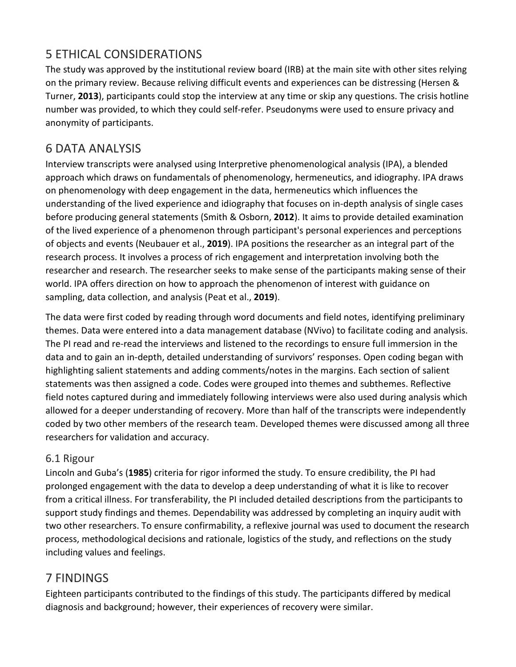## 5 ETHICAL CONSIDERATIONS

The study was approved by the institutional review board (IRB) at the main site with other sites relying on the primary review. Because reliving difficult events and experiences can be distressing (Hersen & Turner, **2013**), participants could stop the interview at any time or skip any questions. The crisis hotline number was provided, to which they could self-refer. Pseudonyms were used to ensure privacy and anonymity of participants.

## 6 DATA ANALYSIS

Interview transcripts were analysed using Interpretive phenomenological analysis (IPA), a blended approach which draws on fundamentals of phenomenology, hermeneutics, and idiography. IPA draws on phenomenology with deep engagement in the data, hermeneutics which influences the understanding of the lived experience and idiography that focuses on in-depth analysis of single cases before producing general statements (Smith & Osborn, **2012**). It aims to provide detailed examination of the lived experience of a phenomenon through participant's personal experiences and perceptions of objects and events (Neubauer et al., **2019**). IPA positions the researcher as an integral part of the research process. It involves a process of rich engagement and interpretation involving both the researcher and research. The researcher seeks to make sense of the participants making sense of their world. IPA offers direction on how to approach the phenomenon of interest with guidance on sampling, data collection, and analysis (Peat et al., **2019**).

The data were first coded by reading through word documents and field notes, identifying preliminary themes. Data were entered into a data management database (NVivo) to facilitate coding and analysis. The PI read and re-read the interviews and listened to the recordings to ensure full immersion in the data and to gain an in-depth, detailed understanding of survivors' responses. Open coding began with highlighting salient statements and adding comments/notes in the margins. Each section of salient statements was then assigned a code. Codes were grouped into themes and subthemes. Reflective field notes captured during and immediately following interviews were also used during analysis which allowed for a deeper understanding of recovery. More than half of the transcripts were independently coded by two other members of the research team. Developed themes were discussed among all three researchers for validation and accuracy.

#### 6.1 Rigour

Lincoln and Guba's (**1985**) criteria for rigor informed the study. To ensure credibility, the PI had prolonged engagement with the data to develop a deep understanding of what it is like to recover from a critical illness. For transferability, the PI included detailed descriptions from the participants to support study findings and themes. Dependability was addressed by completing an inquiry audit with two other researchers. To ensure confirmability, a reflexive journal was used to document the research process, methodological decisions and rationale, logistics of the study, and reflections on the study including values and feelings.

## 7 FINDINGS

Eighteen participants contributed to the findings of this study. The participants differed by medical diagnosis and background; however, their experiences of recovery were similar.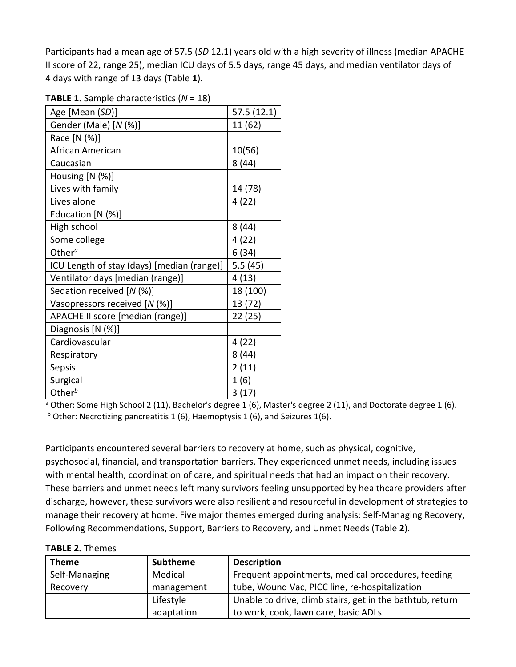Participants had a mean age of 57.5 (*SD* 12.1) years old with a high severity of illness (median APACHE II score of 22, range 25), median ICU days of 5.5 days, range 45 days, and median ventilator days of 4 days with range of 13 days (Table **1**).

| Age [Mean (SD)]                            | 57.5(12.1) |
|--------------------------------------------|------------|
| Gender (Male) [N (%)]                      | 11 (62)    |
| Race [N (%)]                               |            |
| African American                           | 10(56)     |
| Caucasian                                  | 8(44)      |
| Housing [N (%)]                            |            |
| Lives with family                          | 14 (78)    |
| Lives alone                                | 4(22)      |
| Education [N (%)]                          |            |
| High school                                | 8(44)      |
| Some college                               | 4(22)      |
| Other <sup><math>a</math></sup>            | 6(34)      |
| ICU Length of stay (days) [median (range)] | 5.5(45)    |
| Ventilator days [median (range)]           | 4(13)      |
| Sedation received [N (%)]                  | 18 (100)   |
| Vasopressors received [N (%)]              | 13 (72)    |
| APACHE II score [median (range)]           | 22 (25)    |
| Diagnosis [N (%)]                          |            |
| Cardiovascular                             | 4 (22)     |
| Respiratory                                | 8(44)      |
| Sepsis                                     | 2(11)      |
| Surgical                                   | 1(6)       |
| Other $b$                                  | 3(17)      |

**TABLE 1.** Sample characteristics (*N* = 18)

<sup>a</sup> Other: Some High School 2 (11), Bachelor's degree 1 (6), Master's degree 2 (11), and Doctorate degree 1 (6).  $b$  Other: Necrotizing pancreatitis 1 (6), Haemoptysis 1 (6), and Seizures 1(6).

Participants encountered several barriers to recovery at home, such as physical, cognitive, psychosocial, financial, and transportation barriers. They experienced unmet needs, including issues with mental health, coordination of care, and spiritual needs that had an impact on their recovery. These barriers and unmet needs left many survivors feeling unsupported by healthcare providers after discharge, however, these survivors were also resilient and resourceful in development of strategies to manage their recovery at home. Five major themes emerged during analysis: Self-Managing Recovery, Following Recommendations, Support, Barriers to Recovery, and Unmet Needs (Table **2**).

**TABLE 2.** Themes

| <b>Theme</b>  | <b>Subtheme</b> | <b>Description</b>                                        |
|---------------|-----------------|-----------------------------------------------------------|
| Self-Managing | Medical         | Frequent appointments, medical procedures, feeding        |
| Recovery      | management      | tube, Wound Vac, PICC line, re-hospitalization            |
|               | Lifestyle       | Unable to drive, climb stairs, get in the bathtub, return |
|               | adaptation      | to work, cook, lawn care, basic ADLs                      |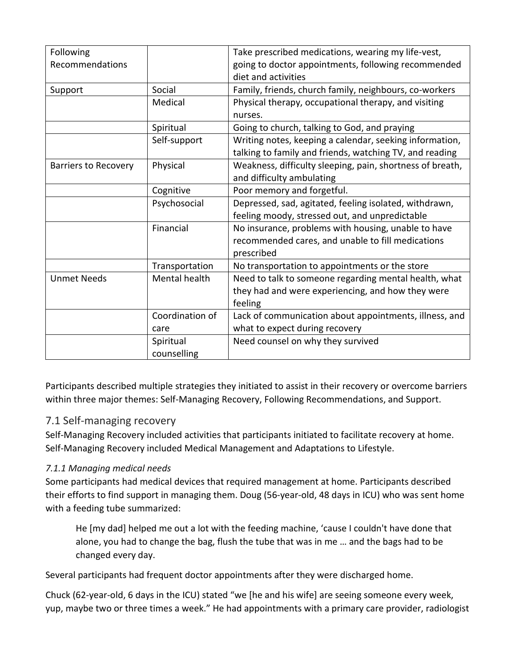| Following                   |                 | Take prescribed medications, wearing my life-vest,        |
|-----------------------------|-----------------|-----------------------------------------------------------|
| Recommendations             |                 | going to doctor appointments, following recommended       |
|                             |                 | diet and activities                                       |
| Support                     | Social          | Family, friends, church family, neighbours, co-workers    |
|                             | Medical         | Physical therapy, occupational therapy, and visiting      |
|                             |                 | nurses.                                                   |
|                             | Spiritual       | Going to church, talking to God, and praying              |
|                             | Self-support    | Writing notes, keeping a calendar, seeking information,   |
|                             |                 | talking to family and friends, watching TV, and reading   |
| <b>Barriers to Recovery</b> | Physical        | Weakness, difficulty sleeping, pain, shortness of breath, |
|                             |                 | and difficulty ambulating                                 |
|                             | Cognitive       | Poor memory and forgetful.                                |
|                             | Psychosocial    | Depressed, sad, agitated, feeling isolated, withdrawn,    |
|                             |                 | feeling moody, stressed out, and unpredictable            |
|                             | Financial       | No insurance, problems with housing, unable to have       |
|                             |                 | recommended cares, and unable to fill medications         |
|                             |                 | prescribed                                                |
|                             | Transportation  | No transportation to appointments or the store            |
| <b>Unmet Needs</b>          | Mental health   | Need to talk to someone regarding mental health, what     |
|                             |                 | they had and were experiencing, and how they were         |
|                             |                 | feeling                                                   |
|                             | Coordination of | Lack of communication about appointments, illness, and    |
|                             | care            | what to expect during recovery                            |
|                             | Spiritual       | Need counsel on why they survived                         |
|                             | counselling     |                                                           |

Participants described multiple strategies they initiated to assist in their recovery or overcome barriers within three major themes: Self-Managing Recovery, Following Recommendations, and Support.

#### 7.1 Self-managing recovery

Self-Managing Recovery included activities that participants initiated to facilitate recovery at home. Self-Managing Recovery included Medical Management and Adaptations to Lifestyle.

#### *7.1.1 Managing medical needs*

Some participants had medical devices that required management at home. Participants described their efforts to find support in managing them. Doug (56-year-old, 48 days in ICU) who was sent home with a feeding tube summarized:

He [my dad] helped me out a lot with the feeding machine, 'cause I couldn't have done that alone, you had to change the bag, flush the tube that was in me … and the bags had to be changed every day.

Several participants had frequent doctor appointments after they were discharged home.

Chuck (62-year-old, 6 days in the ICU) stated "we [he and his wife] are seeing someone every week, yup, maybe two or three times a week." He had appointments with a primary care provider, radiologist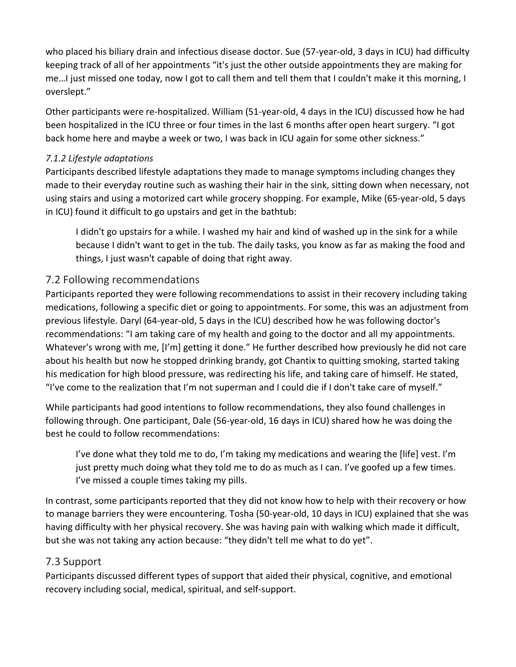who placed his biliary drain and infectious disease doctor. Sue (57-year-old, 3 days in ICU) had difficulty keeping track of all of her appointments "it's just the other outside appointments they are making for me…I just missed one today, now I got to call them and tell them that I couldn't make it this morning, I overslept."

Other participants were re-hospitalized. William (51-year-old, 4 days in the ICU) discussed how he had been hospitalized in the ICU three or four times in the last 6 months after open heart surgery. "I got back home here and maybe a week or two, I was back in ICU again for some other sickness."

#### *7.1.2 Lifestyle adaptations*

Participants described lifestyle adaptations they made to manage symptoms including changes they made to their everyday routine such as washing their hair in the sink, sitting down when necessary, not using stairs and using a motorized cart while grocery shopping. For example, Mike (65-year-old, 5 days in ICU) found it difficult to go upstairs and get in the bathtub:

I didn't go upstairs for a while. I washed my hair and kind of washed up in the sink for a while because I didn't want to get in the tub. The daily tasks, you know as far as making the food and things, I just wasn't capable of doing that right away.

#### 7.2 Following recommendations

Participants reported they were following recommendations to assist in their recovery including taking medications, following a specific diet or going to appointments. For some, this was an adjustment from previous lifestyle. Daryl (64-year-old, 5 days in the ICU) described how he was following doctor's recommendations: "I am taking care of my health and going to the doctor and all my appointments. Whatever's wrong with me, [I'm] getting it done." He further described how previously he did not care about his health but now he stopped drinking brandy, got Chantix to quitting smoking, started taking his medication for high blood pressure, was redirecting his life, and taking care of himself. He stated, "I've come to the realization that I'm not superman and I could die if I don't take care of myself."

While participants had good intentions to follow recommendations, they also found challenges in following through. One participant, Dale (56-year-old, 16 days in ICU) shared how he was doing the best he could to follow recommendations:

I've done what they told me to do, I'm taking my medications and wearing the [life] vest. I'm just pretty much doing what they told me to do as much as I can. I've goofed up a few times. I've missed a couple times taking my pills.

In contrast, some participants reported that they did not know how to help with their recovery or how to manage barriers they were encountering. Tosha (50-year-old, 10 days in ICU) explained that she was having difficulty with her physical recovery. She was having pain with walking which made it difficult, but she was not taking any action because: "they didn't tell me what to do yet".

#### 7.3 Support

Participants discussed different types of support that aided their physical, cognitive, and emotional recovery including social, medical, spiritual, and self-support.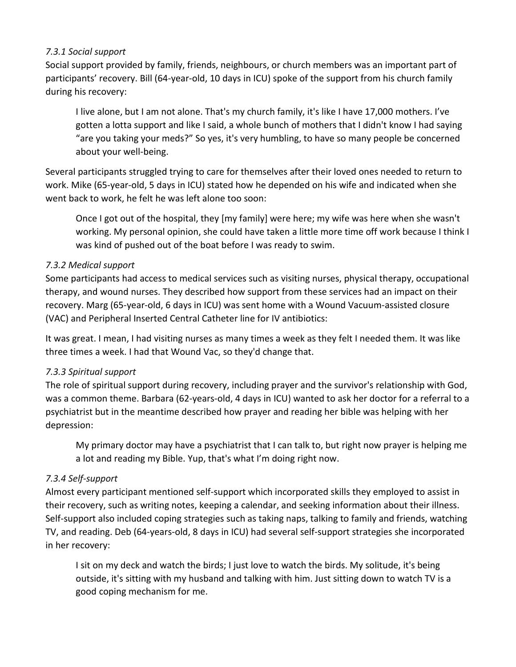#### *7.3.1 Social support*

Social support provided by family, friends, neighbours, or church members was an important part of participants' recovery. Bill (64-year-old, 10 days in ICU) spoke of the support from his church family during his recovery:

I live alone, but I am not alone. That's my church family, it's like I have 17,000 mothers. I've gotten a lotta support and like I said, a whole bunch of mothers that I didn't know I had saying "are you taking your meds?" So yes, it's very humbling, to have so many people be concerned about your well-being.

Several participants struggled trying to care for themselves after their loved ones needed to return to work. Mike (65-year-old, 5 days in ICU) stated how he depended on his wife and indicated when she went back to work, he felt he was left alone too soon:

Once I got out of the hospital, they [my family] were here; my wife was here when she wasn't working. My personal opinion, she could have taken a little more time off work because I think I was kind of pushed out of the boat before I was ready to swim.

#### *7.3.2 Medical support*

Some participants had access to medical services such as visiting nurses, physical therapy, occupational therapy, and wound nurses. They described how support from these services had an impact on their recovery. Marg (65-year-old, 6 days in ICU) was sent home with a Wound Vacuum-assisted closure (VAC) and Peripheral Inserted Central Catheter line for IV antibiotics:

It was great. I mean, I had visiting nurses as many times a week as they felt I needed them. It was like three times a week. I had that Wound Vac, so they'd change that.

#### *7.3.3 Spiritual support*

The role of spiritual support during recovery, including prayer and the survivor's relationship with God, was a common theme. Barbara (62-years-old, 4 days in ICU) wanted to ask her doctor for a referral to a psychiatrist but in the meantime described how prayer and reading her bible was helping with her depression:

My primary doctor may have a psychiatrist that I can talk to, but right now prayer is helping me a lot and reading my Bible. Yup, that's what I'm doing right now.

#### *7.3.4 Self-support*

Almost every participant mentioned self-support which incorporated skills they employed to assist in their recovery, such as writing notes, keeping a calendar, and seeking information about their illness. Self-support also included coping strategies such as taking naps, talking to family and friends, watching TV, and reading. Deb (64-years-old, 8 days in ICU) had several self-support strategies she incorporated in her recovery:

I sit on my deck and watch the birds; I just love to watch the birds. My solitude, it's being outside, it's sitting with my husband and talking with him. Just sitting down to watch TV is a good coping mechanism for me.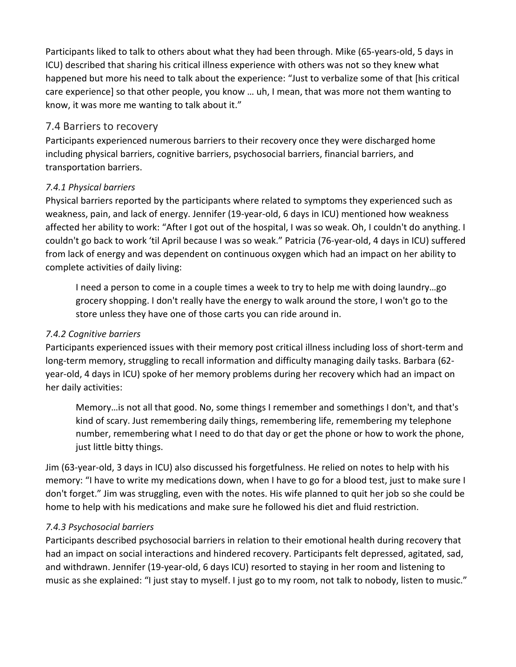Participants liked to talk to others about what they had been through. Mike (65-years-old, 5 days in ICU) described that sharing his critical illness experience with others was not so they knew what happened but more his need to talk about the experience: "Just to verbalize some of that [his critical care experience] so that other people, you know … uh, I mean, that was more not them wanting to know, it was more me wanting to talk about it."

#### 7.4 Barriers to recovery

Participants experienced numerous barriers to their recovery once they were discharged home including physical barriers, cognitive barriers, psychosocial barriers, financial barriers, and transportation barriers.

#### *7.4.1 Physical barriers*

Physical barriers reported by the participants where related to symptoms they experienced such as weakness, pain, and lack of energy. Jennifer (19-year-old, 6 days in ICU) mentioned how weakness affected her ability to work: "After I got out of the hospital, I was so weak. Oh, I couldn't do anything. I couldn't go back to work 'til April because I was so weak." Patricia (76-year-old, 4 days in ICU) suffered from lack of energy and was dependent on continuous oxygen which had an impact on her ability to complete activities of daily living:

I need a person to come in a couple times a week to try to help me with doing laundry…go grocery shopping. I don't really have the energy to walk around the store, I won't go to the store unless they have one of those carts you can ride around in.

#### *7.4.2 Cognitive barriers*

Participants experienced issues with their memory post critical illness including loss of short-term and long-term memory, struggling to recall information and difficulty managing daily tasks. Barbara (62 year-old, 4 days in ICU) spoke of her memory problems during her recovery which had an impact on her daily activities:

Memory…is not all that good. No, some things I remember and somethings I don't, and that's kind of scary. Just remembering daily things, remembering life, remembering my telephone number, remembering what I need to do that day or get the phone or how to work the phone, just little bitty things.

Jim (63-year-old, 3 days in ICU) also discussed his forgetfulness. He relied on notes to help with his memory: "I have to write my medications down, when I have to go for a blood test, just to make sure I don't forget." Jim was struggling, even with the notes. His wife planned to quit her job so she could be home to help with his medications and make sure he followed his diet and fluid restriction.

#### *7.4.3 Psychosocial barriers*

Participants described psychosocial barriers in relation to their emotional health during recovery that had an impact on social interactions and hindered recovery. Participants felt depressed, agitated, sad, and withdrawn. Jennifer (19-year-old, 6 days ICU) resorted to staying in her room and listening to music as she explained: "I just stay to myself. I just go to my room, not talk to nobody, listen to music."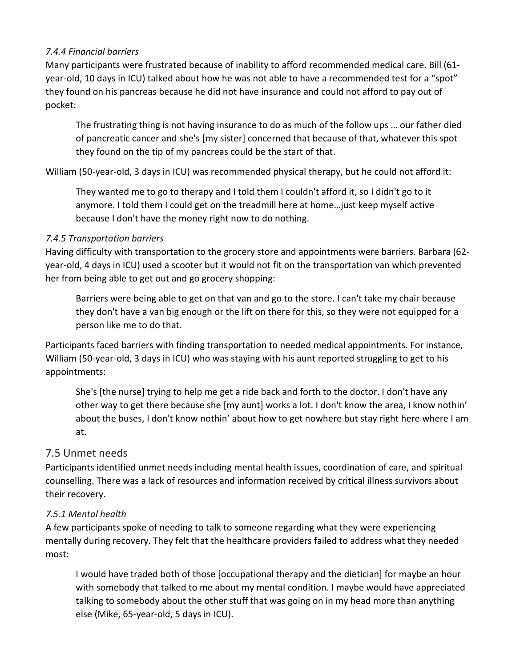#### *7.4.4 Financial barriers*

Many participants were frustrated because of inability to afford recommended medical care. Bill (61 year-old, 10 days in ICU) talked about how he was not able to have a recommended test for a "spot" they found on his pancreas because he did not have insurance and could not afford to pay out of pocket:

The frustrating thing is not having insurance to do as much of the follow ups … our father died of pancreatic cancer and she's [my sister] concerned that because of that, whatever this spot they found on the tip of my pancreas could be the start of that.

William (50-year-old, 3 days in ICU) was recommended physical therapy, but he could not afford it:

They wanted me to go to therapy and I told them I couldn't afford it, so I didn't go to it anymore. I told them I could get on the treadmill here at home…just keep myself active because I don't have the money right now to do nothing.

#### *7.4.5 Transportation barriers*

Having difficulty with transportation to the grocery store and appointments were barriers. Barbara (62 year-old, 4 days in ICU) used a scooter but it would not fit on the transportation van which prevented her from being able to get out and go grocery shopping:

Barriers were being able to get on that van and go to the store. I can't take my chair because they don't have a van big enough or the lift on there for this, so they were not equipped for a person like me to do that.

Participants faced barriers with finding transportation to needed medical appointments. For instance, William (50-year-old, 3 days in ICU) who was staying with his aunt reported struggling to get to his appointments:

She's [the nurse] trying to help me get a ride back and forth to the doctor. I don't have any other way to get there because she [my aunt] works a lot. I don't know the area, I know nothin' about the buses, I don't know nothin' about how to get nowhere but stay right here where I am at.

#### 7.5 Unmet needs

Participants identified unmet needs including mental health issues, coordination of care, and spiritual counselling. There was a lack of resources and information received by critical illness survivors about their recovery.

#### *7.5.1 Mental health*

A few participants spoke of needing to talk to someone regarding what they were experiencing mentally during recovery. They felt that the healthcare providers failed to address what they needed most:

I would have traded both of those [occupational therapy and the dietician] for maybe an hour with somebody that talked to me about my mental condition. I maybe would have appreciated talking to somebody about the other stuff that was going on in my head more than anything else (Mike, 65-year-old, 5 days in ICU).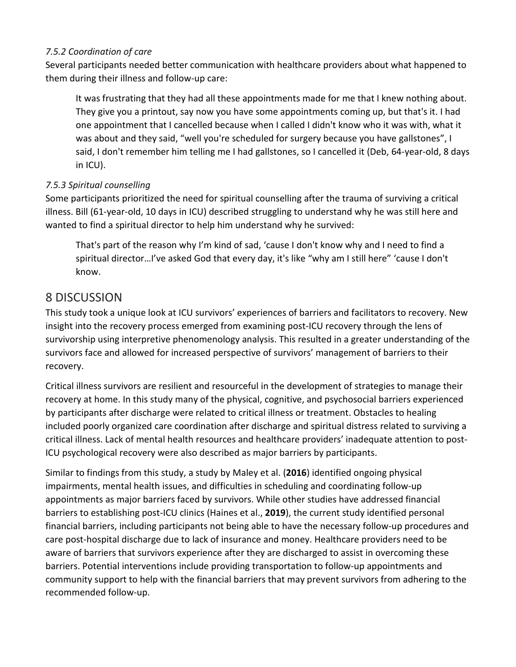#### *7.5.2 Coordination of care*

Several participants needed better communication with healthcare providers about what happened to them during their illness and follow-up care:

It was frustrating that they had all these appointments made for me that I knew nothing about. They give you a printout, say now you have some appointments coming up, but that's it. I had one appointment that I cancelled because when I called I didn't know who it was with, what it was about and they said, "well you're scheduled for surgery because you have gallstones", I said, I don't remember him telling me I had gallstones, so I cancelled it (Deb, 64-year-old, 8 days in ICU).

#### *7.5.3 Spiritual counselling*

Some participants prioritized the need for spiritual counselling after the trauma of surviving a critical illness. Bill (61-year-old, 10 days in ICU) described struggling to understand why he was still here and wanted to find a spiritual director to help him understand why he survived:

That's part of the reason why I'm kind of sad, 'cause I don't know why and I need to find a spiritual director…I've asked God that every day, it's like "why am I still here" 'cause I don't know.

## 8 DISCUSSION

This study took a unique look at ICU survivors' experiences of barriers and facilitators to recovery. New insight into the recovery process emerged from examining post-ICU recovery through the lens of survivorship using interpretive phenomenology analysis. This resulted in a greater understanding of the survivors face and allowed for increased perspective of survivors' management of barriers to their recovery.

Critical illness survivors are resilient and resourceful in the development of strategies to manage their recovery at home. In this study many of the physical, cognitive, and psychosocial barriers experienced by participants after discharge were related to critical illness or treatment. Obstacles to healing included poorly organized care coordination after discharge and spiritual distress related to surviving a critical illness. Lack of mental health resources and healthcare providers' inadequate attention to post-ICU psychological recovery were also described as major barriers by participants.

Similar to findings from this study, a study by Maley et al. (**2016**) identified ongoing physical impairments, mental health issues, and difficulties in scheduling and coordinating follow-up appointments as major barriers faced by survivors. While other studies have addressed financial barriers to establishing post-ICU clinics (Haines et al., **2019**), the current study identified personal financial barriers, including participants not being able to have the necessary follow-up procedures and care post-hospital discharge due to lack of insurance and money. Healthcare providers need to be aware of barriers that survivors experience after they are discharged to assist in overcoming these barriers. Potential interventions include providing transportation to follow-up appointments and community support to help with the financial barriers that may prevent survivors from adhering to the recommended follow-up.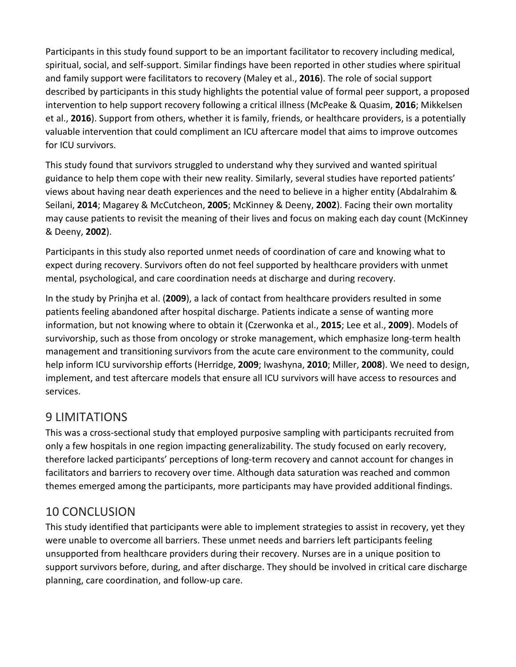Participants in this study found support to be an important facilitator to recovery including medical, spiritual, social, and self-support. Similar findings have been reported in other studies where spiritual and family support were facilitators to recovery (Maley et al., **2016**). The role of social support described by participants in this study highlights the potential value of formal peer support, a proposed intervention to help support recovery following a critical illness (McPeake & Quasim, **2016**; Mikkelsen et al., **2016**). Support from others, whether it is family, friends, or healthcare providers, is a potentially valuable intervention that could compliment an ICU aftercare model that aims to improve outcomes for ICU survivors.

This study found that survivors struggled to understand why they survived and wanted spiritual guidance to help them cope with their new reality. Similarly, several studies have reported patients' views about having near death experiences and the need to believe in a higher entity (Abdalrahim & Seilani, **2014**; Magarey & McCutcheon, **2005**; McKinney & Deeny, **2002**). Facing their own mortality may cause patients to revisit the meaning of their lives and focus on making each day count (McKinney & Deeny, **2002**).

Participants in this study also reported unmet needs of coordination of care and knowing what to expect during recovery. Survivors often do not feel supported by healthcare providers with unmet mental, psychological, and care coordination needs at discharge and during recovery.

In the study by Prinjha et al. (**2009**), a lack of contact from healthcare providers resulted in some patients feeling abandoned after hospital discharge. Patients indicate a sense of wanting more information, but not knowing where to obtain it (Czerwonka et al., **2015**; Lee et al., **2009**). Models of survivorship, such as those from oncology or stroke management, which emphasize long-term health management and transitioning survivors from the acute care environment to the community, could help inform ICU survivorship efforts (Herridge, **2009**; Iwashyna, **2010**; Miller, **2008**). We need to design, implement, and test aftercare models that ensure all ICU survivors will have access to resources and services.

## 9 LIMITATIONS

This was a cross-sectional study that employed purposive sampling with participants recruited from only a few hospitals in one region impacting generalizability. The study focused on early recovery, therefore lacked participants' perceptions of long-term recovery and cannot account for changes in facilitators and barriers to recovery over time. Although data saturation was reached and common themes emerged among the participants, more participants may have provided additional findings.

## 10 CONCLUSION

This study identified that participants were able to implement strategies to assist in recovery, yet they were unable to overcome all barriers. These unmet needs and barriers left participants feeling unsupported from healthcare providers during their recovery. Nurses are in a unique position to support survivors before, during, and after discharge. They should be involved in critical care discharge planning, care coordination, and follow-up care.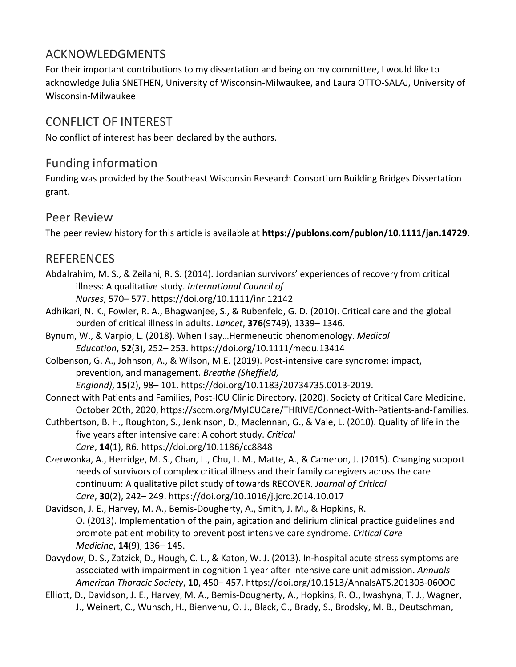## ACKNOWLEDGMENTS

For their important contributions to my dissertation and being on my committee, I would like to acknowledge Julia SNETHEN, University of Wisconsin-Milwaukee, and Laura OTTO-SALAJ, University of Wisconsin-Milwaukee

## CONFLICT OF INTEREST

No conflict of interest has been declared by the authors.

## Funding information

Funding was provided by the Southeast Wisconsin Research Consortium Building Bridges Dissertation grant.

## Peer Review

The peer review history for this article is available at **https://publons.com/publon/10.1111/jan.14729**.

## REFERENCES

- Abdalrahim, M. S., & Zeilani, R. S. (2014). Jordanian survivors' experiences of recovery from critical illness: A qualitative study. *International Council of Nurses*, 570– 577. https://doi.org/10.1111/inr.12142
- Adhikari, N. K., Fowler, R. A., Bhagwanjee, S., & Rubenfeld, G. D. (2010). Critical care and the global burden of critical illness in adults. *Lancet*, **376**(9749), 1339– 1346.
- Bynum, W., & Varpio, L. (2018). When I say…Hermeneutic phenomenology. *Medical Education*, **52**(3), 252– 253. https://doi.org/10.1111/medu.13414
- Colbenson, G. A., Johnson, A., & Wilson, M.E. (2019). Post-intensive care syndrome: impact, prevention, and management. *Breathe (Sheffield,*

*England)*, **15**(2), 98– 101. https://doi.org/10.1183/20734735.0013-2019.

- Connect with Patients and Families, Post-ICU Clinic Directory. (2020). Society of Critical Care Medicine, October 20th, 2020, https://sccm.org/MyICUCare/THRIVE/Connect-With-Patients-and-Families.
- Cuthbertson, B. H., Roughton, S., Jenkinson, D., Maclennan, G., & Vale, L. (2010). Quality of life in the five years after intensive care: A cohort study. *Critical Care*, **14**(1), R6. https://doi.org/10.1186/cc8848
- Czerwonka, A., Herridge, M. S., Chan, L., Chu, L. M., Matte, A., & Cameron, J. (2015). Changing support needs of survivors of complex critical illness and their family caregivers across the care continuum: A qualitative pilot study of towards RECOVER. *Journal of Critical Care*, **30**(2), 242– 249. https://doi.org/10.1016/j.jcrc.2014.10.017
- Davidson, J. E., Harvey, M. A., Bemis-Dougherty, A., Smith, J. M., & Hopkins, R. O. (2013). Implementation of the pain, agitation and delirium clinical practice guidelines and promote patient mobility to prevent post intensive care syndrome. *Critical Care Medicine*, **14**(9), 136– 145.
- Davydow, D. S., Zatzick, D., Hough, C. L., & Katon, W. J. (2013). In-hospital acute stress symptoms are associated with impairment in cognition 1 year after intensive care unit admission. *Annuals American Thoracic Society*, **10**, 450– 457. https://doi.org/10.1513/AnnalsATS.201303-060OC
- Elliott, D., Davidson, J. E., Harvey, M. A., Bemis-Dougherty, A., Hopkins, R. O., Iwashyna, T. J., Wagner, J., Weinert, C., Wunsch, H., Bienvenu, O. J., Black, G., Brady, S., Brodsky, M. B., Deutschman,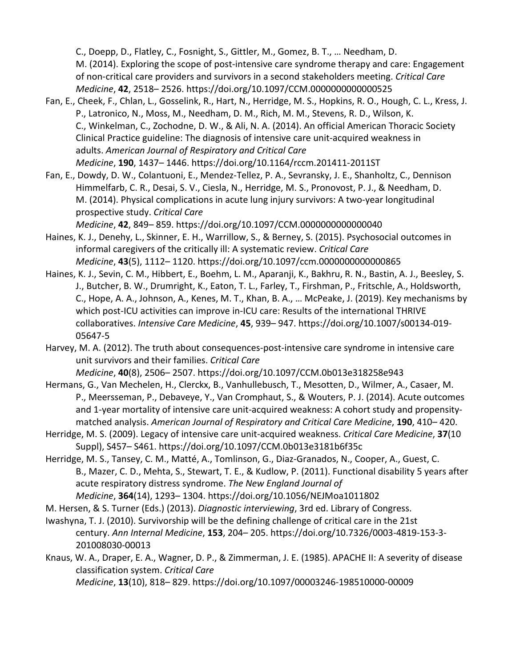C., Doepp, D., Flatley, C., Fosnight, S., Gittler, M., Gomez, B. T., … Needham, D. M. (2014). Exploring the scope of post-intensive care syndrome therapy and care: Engagement of non-critical care providers and survivors in a second stakeholders meeting. *Critical Care Medicine*, **42**, 2518– 2526. https://doi.org/10.1097/CCM.0000000000000525

- Fan, E., Cheek, F., Chlan, L., Gosselink, R., Hart, N., Herridge, M. S., Hopkins, R. O., Hough, C. L., Kress, J. P., Latronico, N., Moss, M., Needham, D. M., Rich, M. M., Stevens, R. D., Wilson, K. C., Winkelman, C., Zochodne, D. W., & Ali, N. A. (2014). An official American Thoracic Society Clinical Practice guideline: The diagnosis of intensive care unit-acquired weakness in adults. *American Journal of Respiratory and Critical Care Medicine*, **190**, 1437– 1446. https://doi.org/10.1164/rccm.201411-2011ST
- Fan, E., Dowdy, D. W., Colantuoni, E., Mendez-Tellez, P. A., Sevransky, J. E., Shanholtz, C., Dennison Himmelfarb, C. R., Desai, S. V., Ciesla, N., Herridge, M. S., Pronovost, P. J., & Needham, D. M. (2014). Physical complications in acute lung injury survivors: A two-year longitudinal prospective study. *Critical Care*

*Medicine*, **42**, 849– 859. https://doi.org/10.1097/CCM.0000000000000040 Haines, K. J., Denehy, L., Skinner, E. H., Warrillow, S., & Berney, S. (2015). Psychosocial outcomes in

- informal caregivers of the critically ill: A systematic review. *Critical Care Medicine*, **43**(5), 1112– 1120. https://doi.org/10.1097/ccm.0000000000000865
- Haines, K. J., Sevin, C. M., Hibbert, E., Boehm, L. M., Aparanji, K., Bakhru, R. N., Bastin, A. J., Beesley, S. J., Butcher, B. W., Drumright, K., Eaton, T. L., Farley, T., Firshman, P., Fritschle, A., Holdsworth, C., Hope, A. A., Johnson, A., Kenes, M. T., Khan, B. A., … McPeake, J. (2019). Key mechanisms by which post-ICU activities can improve in-ICU care: Results of the international THRIVE collaboratives. *Intensive Care Medicine*, **45**, 939– 947. https://doi.org/10.1007/s00134-019- 05647-5
- Harvey, M. A. (2012). The truth about consequences-post-intensive care syndrome in intensive care unit survivors and their families. *Critical Care Medicine*, **40**(8), 2506– 2507. https://doi.org/10.1097/CCM.0b013e318258e943
- Hermans, G., Van Mechelen, H., Clerckx, B., Vanhullebusch, T., Mesotten, D., Wilmer, A., Casaer, M. P., Meersseman, P., Debaveye, Y., Van Cromphaut, S., & Wouters, P. J. (2014). Acute outcomes and 1-year mortality of intensive care unit-acquired weakness: A cohort study and propensitymatched analysis. *American Journal of Respiratory and Critical Care Medicine*, **190**, 410– 420.
- Herridge, M. S. (2009). Legacy of intensive care unit-acquired weakness. *Critical Care Medicine*, **37**(10 Suppl), S457– S461. https://doi.org/10.1097/CCM.0b013e3181b6f35c
- Herridge, M. S., Tansey, C. M., Matté, A., Tomlinson, G., Diaz-Granados, N., Cooper, A., Guest, C. B., Mazer, C. D., Mehta, S., Stewart, T. E., & Kudlow, P. (2011). Functional disability 5 years after acute respiratory distress syndrome. *The New England Journal of Medicine*, **364**(14), 1293– 1304. https://doi.org/10.1056/NEJMoa1011802
- M. Hersen, & S. Turner (Eds.) (2013). *Diagnostic interviewing*, 3rd ed. Library of Congress.
- Iwashyna, T. J. (2010). Survivorship will be the defining challenge of critical care in the 21st century. *Ann Internal Medicine*, **153**, 204– 205. https://doi.org/10.7326/0003-4819-153-3- 201008030-00013
- Knaus, W. A., Draper, E. A., Wagner, D. P., & Zimmerman, J. E. (1985). APACHE II: A severity of disease classification system. *Critical Care Medicine*, **13**(10), 818– 829. https://doi.org/10.1097/00003246-198510000-00009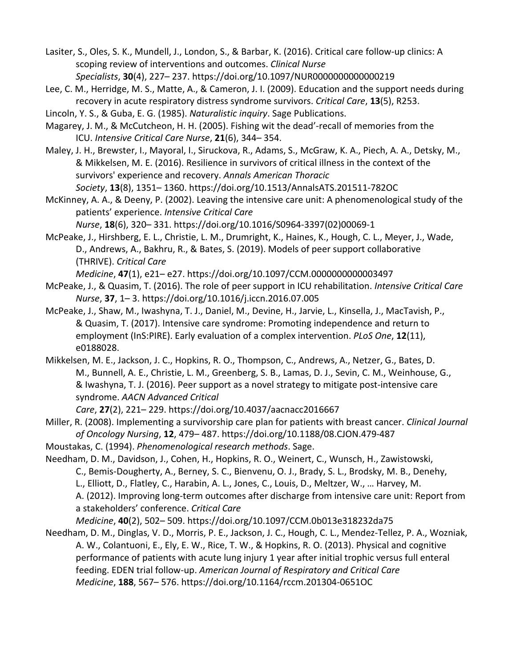Lasiter, S., Oles, S. K., Mundell, J., London, S., & Barbar, K. (2016). Critical care follow-up clinics: A scoping review of interventions and outcomes. *Clinical Nurse Specialists*, **30**(4), 227– 237. https://doi.org/10.1097/NUR0000000000000219

Lee, C. M., Herridge, M. S., Matte, A., & Cameron, J. I. (2009). Education and the support needs during recovery in acute respiratory distress syndrome survivors. *Critical Care*, **13**(5), R253.

Lincoln, Y. S., & Guba, E. G. (1985). *Naturalistic inquiry*. Sage Publications.

Magarey, J. M., & McCutcheon, H. H. (2005). Fishing wit the dead'-recall of memories from the ICU. *Intensive Critical Care Nurse*, **21**(6), 344– 354.

Maley, J. H., Brewster, I., Mayoral, I., Siruckova, R., Adams, S., McGraw, K. A., Piech, A. A., Detsky, M., & Mikkelsen, M. E. (2016). Resilience in survivors of critical illness in the context of the survivors' experience and recovery. *Annals American Thoracic Society*, **13**(8), 1351– 1360. https://doi.org/10.1513/AnnalsATS.201511-782OC

McKinney, A. A., & Deeny, P. (2002). Leaving the intensive care unit: A phenomenological study of the patients' experience. *Intensive Critical Care* 

*Nurse*, **18**(6), 320– 331. https://doi.org/10.1016/S0964-3397(02)00069-1

McPeake, J., Hirshberg, E. L., Christie, L. M., Drumright, K., Haines, K., Hough, C. L., Meyer, J., Wade, D., Andrews, A., Bakhru, R., & Bates, S. (2019). Models of peer support collaborative (THRIVE). *Critical Care* 

*Medicine*, **47**(1), e21– e27. https://doi.org/10.1097/CCM.0000000000003497

- McPeake, J., & Quasim, T. (2016). The role of peer support in ICU rehabilitation. *Intensive Critical Care Nurse*, **37**, 1– 3. https://doi.org/10.1016/j.iccn.2016.07.005
- McPeake, J., Shaw, M., Iwashyna, T. J., Daniel, M., Devine, H., Jarvie, L., Kinsella, J., MacTavish, P., & Quasim, T. (2017). Intensive care syndrome: Promoting independence and return to employment (InS:PIRE). Early evaluation of a complex intervention. *PLoS One*, **12**(11), e0188028.

Mikkelsen, M. E., Jackson, J. C., Hopkins, R. O., Thompson, C., Andrews, A., Netzer, G., Bates, D. M., Bunnell, A. E., Christie, L. M., Greenberg, S. B., Lamas, D. J., Sevin, C. M., Weinhouse, G., & Iwashyna, T. J. (2016). Peer support as a novel strategy to mitigate post-intensive care syndrome. *AACN Advanced Critical* 

*Care*, **27**(2), 221– 229. https://doi.org/10.4037/aacnacc2016667

Miller, R. (2008). Implementing a survivorship care plan for patients with breast cancer. *Clinical Journal of Oncology Nursing*, **12**, 479– 487. https://doi.org/10.1188/08.CJON.479-487

Moustakas, C. (1994). *Phenomenological research methods*. Sage.

- Needham, D. M., Davidson, J., Cohen, H., Hopkins, R. O., Weinert, C., Wunsch, H., Zawistowski, C., Bemis-Dougherty, A., Berney, S. C., Bienvenu, O. J., Brady, S. L., Brodsky, M. B., Denehy, L., Elliott, D., Flatley, C., Harabin, A. L., Jones, C., Louis, D., Meltzer, W., … Harvey, M. A. (2012). Improving long-term outcomes after discharge from intensive care unit: Report from a stakeholders' conference. *Critical Care Medicine*, **40**(2), 502– 509. https://doi.org/10.1097/CCM.0b013e318232da75
- Needham, D. M., Dinglas, V. D., Morris, P. E., Jackson, J. C., Hough, C. L., Mendez-Tellez, P. A., Wozniak, A. W., Colantuoni, E., Ely, E. W., Rice, T. W., & Hopkins, R. O. (2013). Physical and cognitive performance of patients with acute lung injury 1 year after initial trophic versus full enteral feeding. EDEN trial follow-up. *American Journal of Respiratory and Critical Care Medicine*, **188**, 567– 576. https://doi.org/10.1164/rccm.201304-0651OC